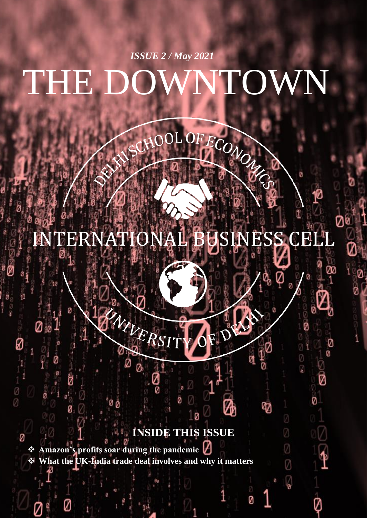# THE DOWNTOWN *ISSUE 2 / May 2021*

#### **ENTERNATI JSINESS CELL**  $\frac{1}{2}$

FECONON

ø

Ø

 $\circledcirc$ 

Ø

Ø

ማ

Ż

Ø

Ø

 $\sqrt{\frac{1}{2}}$ 

Ø

Ø

Ø

V

# **INSIDE THIS ISSUE**

0

❖ **Amazon's profits soar during the pandemic** ❖ **What the UK-India trade deal involves and why it matters**

Ø

NIVER.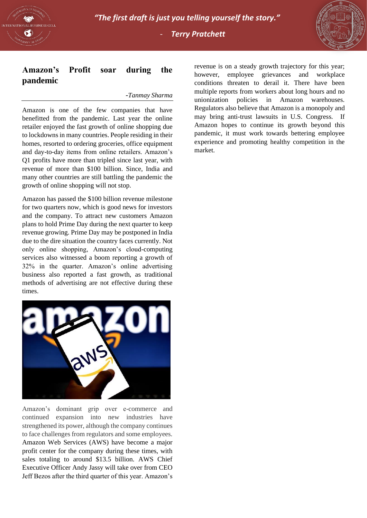



## **Amazon's Profit soar during the pandemic**

#### -*Tanmay Sharma*

Amazon is one of the few companies that have benefitted from the pandemic. Last year the online retailer enjoyed the fast growth of online shopping due to lockdowns in many countries. People residing in their homes, resorted to ordering groceries, office equipment and day-to-day items from online retailers. Amazon's Q1 profits have more than tripled since last year, with revenue of more than \$100 billion. Since, India and many other countries are still battling the pandemic the growth of online shopping will not stop.

Amazon has passed the \$100 billion revenue milestone for two quarters now, which is good news for investors and the company. To attract new customers Amazon plans to hold Prime Day during the next quarter to keep revenue growing. Prime Day may be postponed in India due to the dire situation the country faces currently. Not only online shopping, Amazon's cloud-computing services also witnessed a boom reporting a growth of 32% in the quarter. Amazon's online advertising business also reported a fast growth, as traditional methods of advertising are not effective during these times.



Amazon's dominant grip over e-commerce and continued expansion into new industries have strengthened its power, although the company continues to face challenges from regulators and some employees. Amazon Web Services (AWS) have become a major profit center for the company during these times, with sales totaling to around \$13.5 billion. AWS Chief Executive Officer Andy Jassy will take over from CEO Jeff Bezos after the third quarter of this year. Amazon's

revenue is on a steady growth trajectory for this year; however, employee grievances and workplace conditions threaten to derail it. There have been multiple reports from workers about long hours and no unionization policies in Amazon warehouses. Regulators also believe that Amazon is a monopoly and may bring anti-trust lawsuits in U.S. Congress. If Amazon hopes to continue its growth beyond this pandemic, it must work towards bettering employee experience and promoting healthy competition in the market.